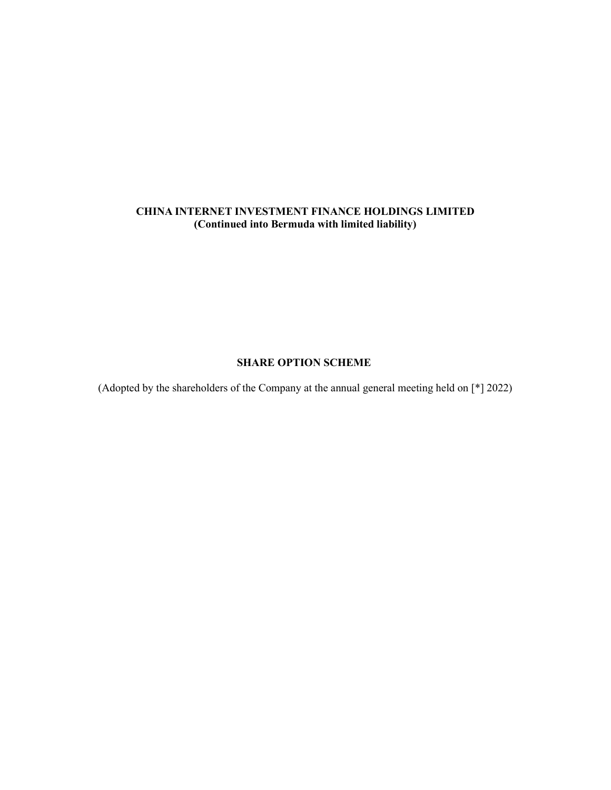# **CHINA INTERNET INVESTMENT FINANCE HOLDINGS LIMITED (Continued into Bermuda with limited liability)**

## **SHARE OPTION SCHEME**

(Adopted by the shareholders of the Company at the annual general meeting held on [\*] 2022)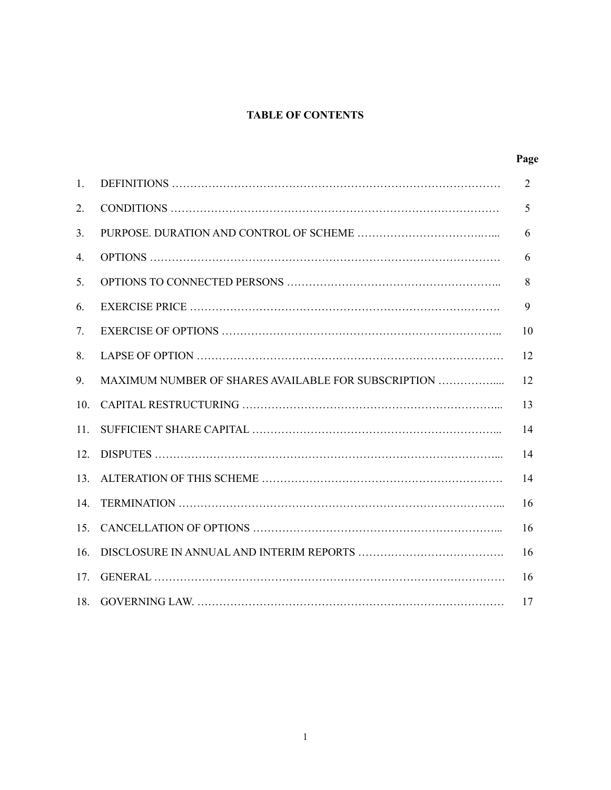## **TABLE OF CONTENTS**

|     |                                                     | Page           |
|-----|-----------------------------------------------------|----------------|
| 1.  |                                                     | $\overline{2}$ |
| 2.  |                                                     | 5              |
| 3.  |                                                     | 6              |
| 4.  |                                                     | 6              |
| 5.  |                                                     | 8              |
| 6.  |                                                     | 9              |
| 7.  |                                                     | 10             |
| 8.  |                                                     | 12             |
| 9.  | MAXIMUM NUMBER OF SHARES AVAILABLE FOR SUBSCRIPTION | 12             |
| 10. |                                                     | 13             |
| 11. |                                                     | 14             |
|     |                                                     | 14             |
|     |                                                     | 14             |
| 14. |                                                     | 16             |
|     |                                                     | 16             |
| 16. |                                                     | 16             |
| 17. |                                                     | 16             |
|     |                                                     | 17             |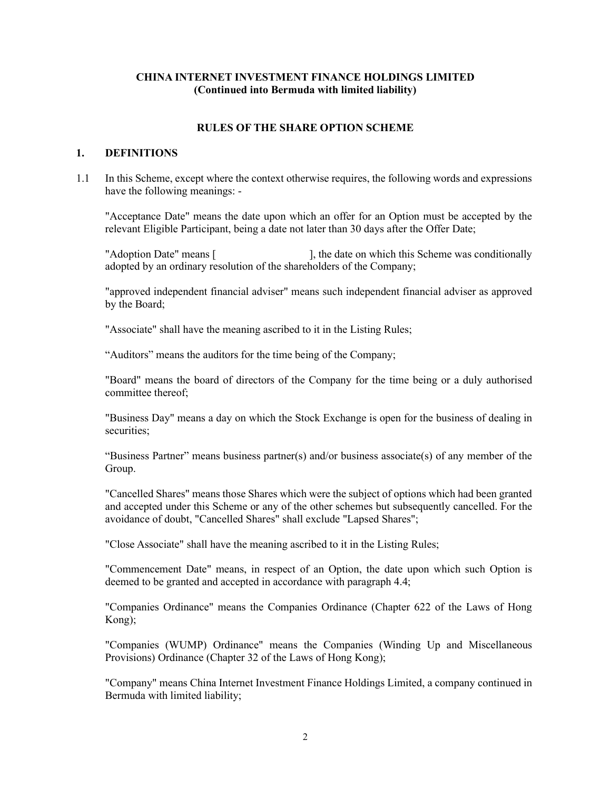### **CHINA INTERNET INVESTMENT FINANCE HOLDINGS LIMITED (Continued into Bermuda with limited liability)**

### **RULES OF THE SHARE OPTION SCHEME**

#### **1. DEFINITIONS**

1.1 In this Scheme, except where the context otherwise requires, the following words and expressions have the following meanings: -

"Acceptance Date" means the date upon which an offer for an Option must be accepted by the relevant Eligible Participant, being a date not later than 30 days after the Offer Date;

"Adoption Date" means [ ], the date on which this Scheme was conditionally adopted by an ordinary resolution of the shareholders of the Company;

"approved independent financial adviser" means such independent financial adviser as approved by the Board;

"Associate" shall have the meaning ascribed to it in the Listing Rules;

"Auditors" means the auditors for the time being of the Company;

"Board" means the board of directors of the Company for the time being or a duly authorised committee thereof;

"Business Day" means a day on which the Stock Exchange is open for the business of dealing in securities:

"Business Partner" means business partner(s) and/or business associate(s) of any member of the Group.

"Cancelled Shares" means those Shares which were the subject of options which had been granted and accepted under this Scheme or any of the other schemes but subsequently cancelled. For the avoidance of doubt, "Cancelled Shares" shall exclude "Lapsed Shares";

"Close Associate" shall have the meaning ascribed to it in the Listing Rules;

"Commencement Date" means, in respect of an Option, the date upon which such Option is deemed to be granted and accepted in accordance with paragraph 4.4;

"Companies Ordinance" means the Companies Ordinance (Chapter 622 of the Laws of Hong Kong);

"Companies (WUMP) Ordinance" means the Companies (Winding Up and Miscellaneous Provisions) Ordinance (Chapter 32 of the Laws of Hong Kong);

"Company" means China Internet Investment Finance Holdings Limited, a company continued in Bermuda with limited liability;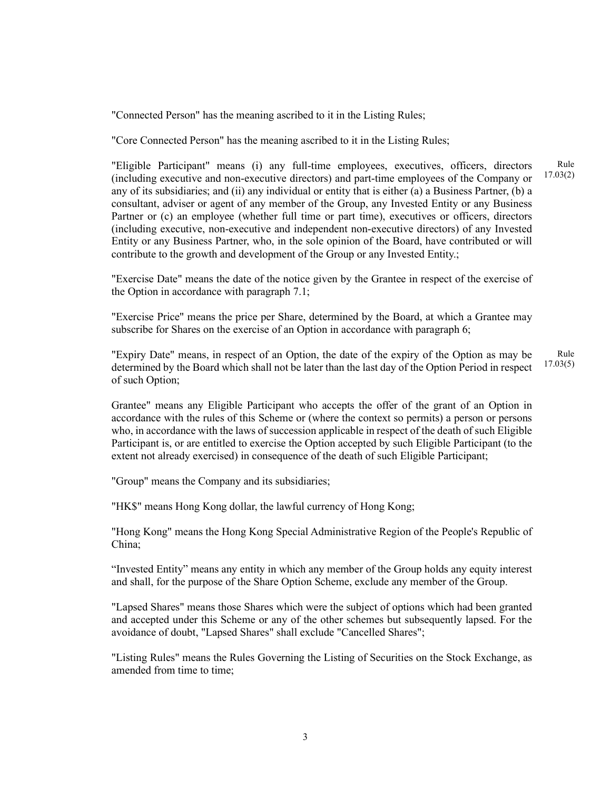"Connected Person" has the meaning ascribed to it in the Listing Rules;

"Core Connected Person" has the meaning ascribed to it in the Listing Rules;

"Eligible Participant" means (i) any full-time employees, executives, officers, directors (including executive and non-executive directors) and part-time employees of the Company or any of its subsidiaries; and (ii) any individual or entity that is either (a) a Business Partner, (b) a consultant, adviser or agent of any member of the Group, any Invested Entity or any Business Partner or (c) an employee (whether full time or part time), executives or officers, directors (including executive, non-executive and independent non-executive directors) of any Invested Entity or any Business Partner, who, in the sole opinion of the Board, have contributed or will contribute to the growth and development of the Group or any Invested Entity.; Rule 17.03(2)

"Exercise Date" means the date of the notice given by the Grantee in respect of the exercise of the Option in accordance with paragraph 7.1;

"Exercise Price" means the price per Share, determined by the Board, at which a Grantee may subscribe for Shares on the exercise of an Option in accordance with paragraph 6;

"Expiry Date" means, in respect of an Option, the date of the expiry of the Option as may be determined by the Board which shall not be later than the last day of the Option Period in respect of such Option; Rule 17.03(5)

Grantee" means any Eligible Participant who accepts the offer of the grant of an Option in accordance with the rules of this Scheme or (where the context so permits) a person or persons who, in accordance with the laws of succession applicable in respect of the death of such Eligible Participant is, or are entitled to exercise the Option accepted by such Eligible Participant (to the extent not already exercised) in consequence of the death of such Eligible Participant;

"Group" means the Company and its subsidiaries;

"HK\$" means Hong Kong dollar, the lawful currency of Hong Kong;

"Hong Kong" means the Hong Kong Special Administrative Region of the People's Republic of China;

"Invested Entity" means any entity in which any member of the Group holds any equity interest and shall, for the purpose of the Share Option Scheme, exclude any member of the Group.

"Lapsed Shares" means those Shares which were the subject of options which had been granted and accepted under this Scheme or any of the other schemes but subsequently lapsed. For the avoidance of doubt, "Lapsed Shares" shall exclude "Cancelled Shares";

"Listing Rules" means the Rules Governing the Listing of Securities on the Stock Exchange, as amended from time to time;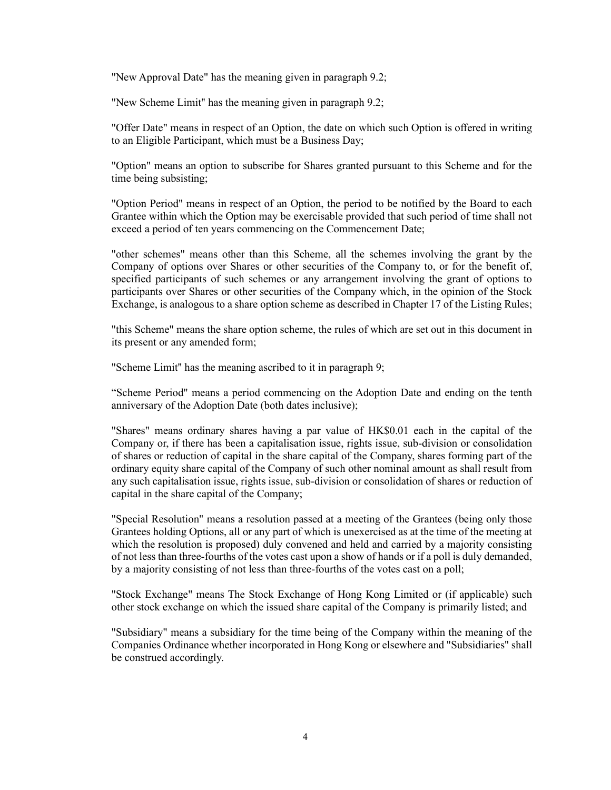"New Approval Date" has the meaning given in paragraph 9.2;

"New Scheme Limit'' has the meaning given in paragraph 9.2;

"Offer Date" means in respect of an Option, the date on which such Option is offered in writing to an Eligible Participant, which must be a Business Day;

"Option" means an option to subscribe for Shares granted pursuant to this Scheme and for the time being subsisting;

"Option Period" means in respect of an Option, the period to be notified by the Board to each Grantee within which the Option may be exercisable provided that such period of time shall not exceed a period of ten years commencing on the Commencement Date;

"other schemes" means other than this Scheme, all the schemes involving the grant by the Company of options over Shares or other securities of the Company to, or for the benefit of, specified participants of such schemes or any arrangement involving the grant of options to participants over Shares or other securities of the Company which, in the opinion of the Stock Exchange, is analogous to a share option scheme as described in Chapter 17 of the Listing Rules;

"this Scheme" means the share option scheme, the rules of which are set out in this document in its present or any amended form;

"Scheme Limit'' has the meaning ascribed to it in paragraph 9;

"Scheme Period" means a period commencing on the Adoption Date and ending on the tenth anniversary of the Adoption Date (both dates inclusive);

"Shares" means ordinary shares having a par value of HK\$0.01 each in the capital of the Company or, if there has been a capitalisation issue, rights issue, sub-division or consolidation of shares or reduction of capital in the share capital of the Company, shares forming part of the ordinary equity share capital of the Company of such other nominal amount as shall result from any such capitalisation issue, rights issue, sub-division or consolidation of shares or reduction of capital in the share capital of the Company;

"Special Resolution" means a resolution passed at a meeting of the Grantees (being only those Grantees holding Options, all or any part of which is unexercised as at the time of the meeting at which the resolution is proposed) duly convened and held and carried by a majority consisting of not less than three-fourths of the votes cast upon a show of hands or if a poll is duly demanded, by a majority consisting of not less than three-fourths of the votes cast on a poll;

"Stock Exchange" means The Stock Exchange of Hong Kong Limited or (if applicable) such other stock exchange on which the issued share capital of the Company is primarily listed; and

"Subsidiary" means a subsidiary for the time being of the Company within the meaning of the Companies Ordinance whether incorporated in Hong Kong or elsewhere and "Subsidiaries" shall be construed accordingly.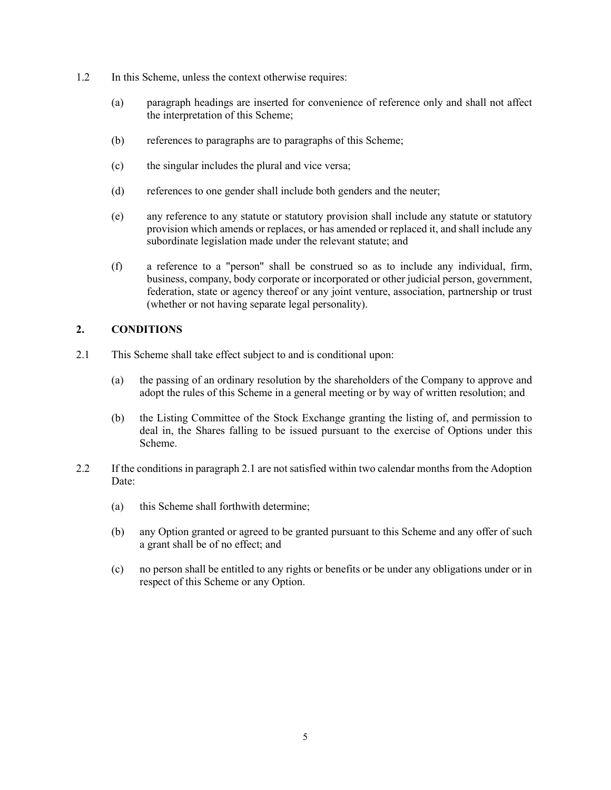- 1.2 In this Scheme, unless the context otherwise requires:
	- (a) paragraph headings are inserted for convenience of reference only and shall not affect the interpretation of this Scheme;
	- (b) references to paragraphs are to paragraphs of this Scheme;
	- (c) the singular includes the plural and vice versa;
	- (d) references to one gender shall include both genders and the neuter;
	- (e) any reference to any statute or statutory provision shall include any statute or statutory provision which amends or replaces, or has amended or replaced it, and shall include any subordinate legislation made under the relevant statute; and
	- (f) a reference to a "person" shall be construed so as to include any individual, firm, business, company, body corporate or incorporated or other judicial person, government, federation, state or agency thereof or any joint venture, association, partnership or trust (whether or not having separate legal personality).

#### **2. CONDITIONS**

- 2.1 This Scheme shall take effect subject to and is conditional upon:
	- (a) the passing of an ordinary resolution by the shareholders of the Company to approve and adopt the rules of this Scheme in a general meeting or by way of written resolution; and
	- (b) the Listing Committee of the Stock Exchange granting the listing of, and permission to deal in, the Shares falling to be issued pursuant to the exercise of Options under this Scheme.
- 2.2 If the conditions in paragraph 2.1 are not satisfied within two calendar months from the Adoption Date:
	- (a) this Scheme shall forthwith determine;
	- (b) any Option granted or agreed to be granted pursuant to this Scheme and any offer of such a grant shall be of no effect; and
	- (c) no person shall be entitled to any rights or benefits or be under any obligations under or in respect of this Scheme or any Option.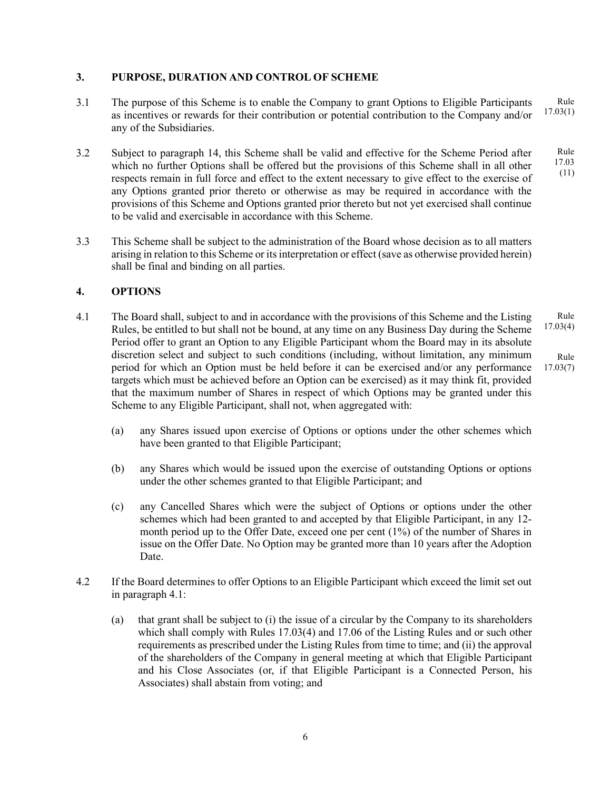### **3. PURPOSE, DURATION AND CONTROL OF SCHEME**

- 3.1 The purpose of this Scheme is to enable the Company to grant Options to Eligible Participants as incentives or rewards for their contribution or potential contribution to the Company and/or any of the Subsidiaries. Rule 17.03(1)
- 3.2 Subject to paragraph 14, this Scheme shall be valid and effective for the Scheme Period after which no further Options shall be offered but the provisions of this Scheme shall in all other respects remain in full force and effect to the extent necessary to give effect to the exercise of any Options granted prior thereto or otherwise as may be required in accordance with the provisions of this Scheme and Options granted prior thereto but not yet exercised shall continue to be valid and exercisable in accordance with this Scheme. Rule 17.03 (11)
- 3.3 This Scheme shall be subject to the administration of the Board whose decision as to all matters arising in relation to this Scheme or its interpretation or effect (save as otherwise provided herein) shall be final and binding on all parties.

#### **4. OPTIONS**

- 4.1 The Board shall, subject to and in accordance with the provisions of this Scheme and the Listing Rules, be entitled to but shall not be bound, at any time on any Business Day during the Scheme Period offer to grant an Option to any Eligible Participant whom the Board may in its absolute discretion select and subject to such conditions (including, without limitation, any minimum period for which an Option must be held before it can be exercised and/or any performance targets which must be achieved before an Option can be exercised) as it may think fit, provided that the maximum number of Shares in respect of which Options may be granted under this Scheme to any Eligible Participant, shall not, when aggregated with: Rule 17.03(4) Rule 17.03(7)
	- (a) any Shares issued upon exercise of Options or options under the other schemes which have been granted to that Eligible Participant;
	- (b) any Shares which would be issued upon the exercise of outstanding Options or options under the other schemes granted to that Eligible Participant; and
	- (c) any Cancelled Shares which were the subject of Options or options under the other schemes which had been granted to and accepted by that Eligible Participant, in any 12 month period up to the Offer Date, exceed one per cent (1%) of the number of Shares in issue on the Offer Date. No Option may be granted more than 10 years after the Adoption Date.
- 4.2 If the Board determines to offer Options to an Eligible Participant which exceed the limit set out in paragraph 4.1:
	- (a) that grant shall be subject to (i) the issue of a circular by the Company to its shareholders which shall comply with Rules 17.03(4) and 17.06 of the Listing Rules and or such other requirements as prescribed under the Listing Rules from time to time; and (ii) the approval of the shareholders of the Company in general meeting at which that Eligible Participant and his Close Associates (or, if that Eligible Participant is a Connected Person, his Associates) shall abstain from voting; and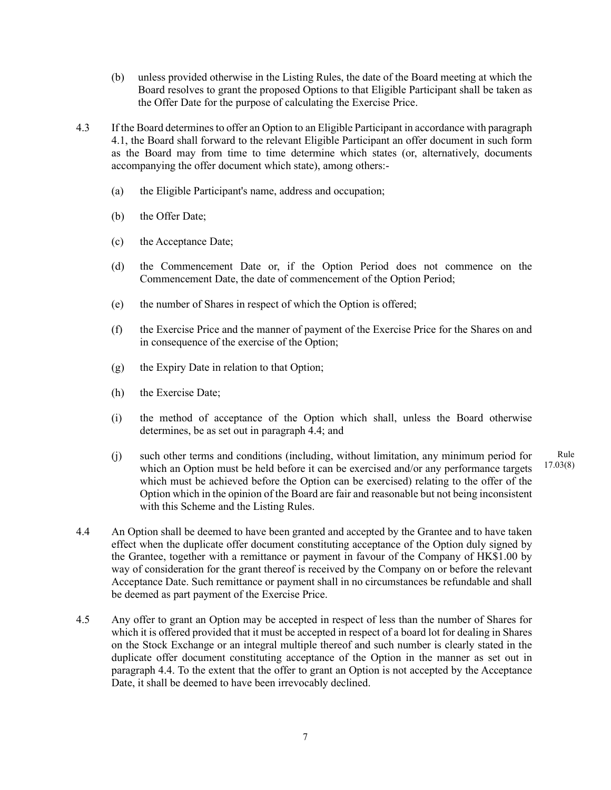- (b) unless provided otherwise in the Listing Rules, the date of the Board meeting at which the Board resolves to grant the proposed Options to that Eligible Participant shall be taken as the Offer Date for the purpose of calculating the Exercise Price.
- 4.3 If the Board determines to offer an Option to an Eligible Participant in accordance with paragraph 4.1, the Board shall forward to the relevant Eligible Participant an offer document in such form as the Board may from time to time determine which states (or, alternatively, documents accompanying the offer document which state), among others:-
	- (a) the Eligible Participant's name, address and occupation;
	- (b) the Offer Date;
	- (c) the Acceptance Date;
	- (d) the Commencement Date or, if the Option Period does not commence on the Commencement Date, the date of commencement of the Option Period;
	- (e) the number of Shares in respect of which the Option is offered;
	- (f) the Exercise Price and the manner of payment of the Exercise Price for the Shares on and in consequence of the exercise of the Option;
	- (g) the Expiry Date in relation to that Option;
	- (h) the Exercise Date;
	- (i) the method of acceptance of the Option which shall, unless the Board otherwise determines, be as set out in paragraph 4.4; and
	- (j) such other terms and conditions (including, without limitation, any minimum period for which an Option must be held before it can be exercised and/or any performance targets which must be achieved before the Option can be exercised) relating to the offer of the Option which in the opinion of the Board are fair and reasonable but not being inconsistent with this Scheme and the Listing Rules. Rule 17.03(8)
- 4.4 An Option shall be deemed to have been granted and accepted by the Grantee and to have taken effect when the duplicate offer document constituting acceptance of the Option duly signed by the Grantee, together with a remittance or payment in favour of the Company of HK\$1.00 by way of consideration for the grant thereof is received by the Company on or before the relevant Acceptance Date. Such remittance or payment shall in no circumstances be refundable and shall be deemed as part payment of the Exercise Price.
- 4.5 Any offer to grant an Option may be accepted in respect of less than the number of Shares for which it is offered provided that it must be accepted in respect of a board lot for dealing in Shares on the Stock Exchange or an integral multiple thereof and such number is clearly stated in the duplicate offer document constituting acceptance of the Option in the manner as set out in paragraph 4.4. To the extent that the offer to grant an Option is not accepted by the Acceptance Date, it shall be deemed to have been irrevocably declined.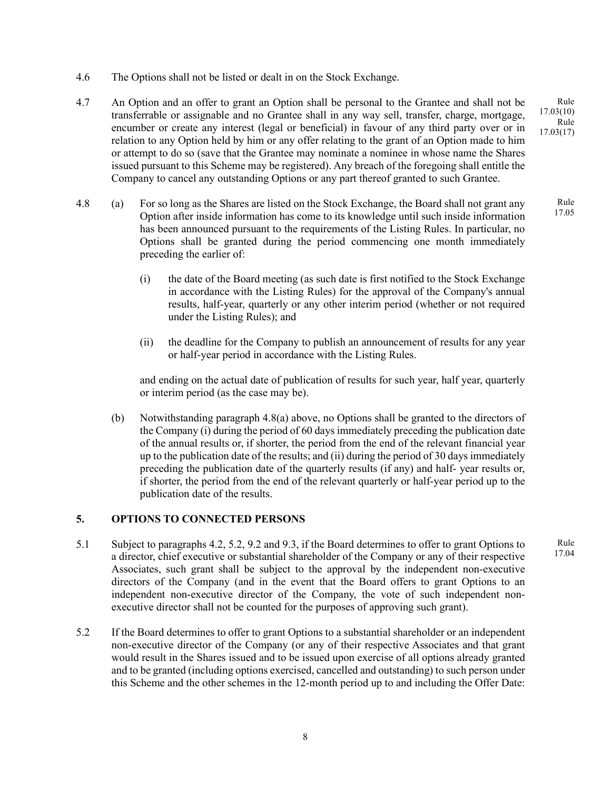- 4.6 The Options shall not be listed or dealt in on the Stock Exchange.
- 4.7 An Option and an offer to grant an Option shall be personal to the Grantee and shall not be transferrable or assignable and no Grantee shall in any way sell, transfer, charge, mortgage, encumber or create any interest (legal or beneficial) in favour of any third party over or in relation to any Option held by him or any offer relating to the grant of an Option made to him or attempt to do so (save that the Grantee may nominate a nominee in whose name the Shares issued pursuant to this Scheme may be registered). Any breach of the foregoing shall entitle the Company to cancel any outstanding Options or any part thereof granted to such Grantee. Rule 17.03(10) Rule 17.03(17)
- 4.8 (a) For so long as the Shares are listed on the Stock Exchange, the Board shall not grant any Option after inside information has come to its knowledge until such inside information has been announced pursuant to the requirements of the Listing Rules. In particular, no Options shall be granted during the period commencing one month immediately preceding the earlier of: Rule 17.05
	- (i) the date of the Board meeting (as such date is first notified to the Stock Exchange in accordance with the Listing Rules) for the approval of the Company's annual results, half-year, quarterly or any other interim period (whether or not required under the Listing Rules); and
	- (ii) the deadline for the Company to publish an announcement of results for any year or half-year period in accordance with the Listing Rules.

and ending on the actual date of publication of results for such year, half year, quarterly or interim period (as the case may be).

(b) Notwithstanding paragraph 4.8(a) above, no Options shall be granted to the directors of the Company (i) during the period of 60 days immediately preceding the publication date of the annual results or, if shorter, the period from the end of the relevant financial year up to the publication date of the results; and (ii) during the period of 30 days immediately preceding the publication date of the quarterly results (if any) and half- year results or, if shorter, the period from the end of the relevant quarterly or half-year period up to the publication date of the results.

#### **5. OPTIONS TO CONNECTED PERSONS**

- 5.1 Subject to paragraphs 4.2, 5.2, 9.2 and 9.3, if the Board determines to offer to grant Options to a director, chief executive or substantial shareholder of the Company or any of their respective Associates, such grant shall be subject to the approval by the independent non-executive directors of the Company (and in the event that the Board offers to grant Options to an independent non-executive director of the Company, the vote of such independent nonexecutive director shall not be counted for the purposes of approving such grant).
- 5.2 If the Board determines to offer to grant Options to a substantial shareholder or an independent non-executive director of the Company (or any of their respective Associates and that grant would result in the Shares issued and to be issued upon exercise of all options already granted and to be granted (including options exercised, cancelled and outstanding) to such person under this Scheme and the other schemes in the 12-month period up to and including the Offer Date:

8

Rule 17.04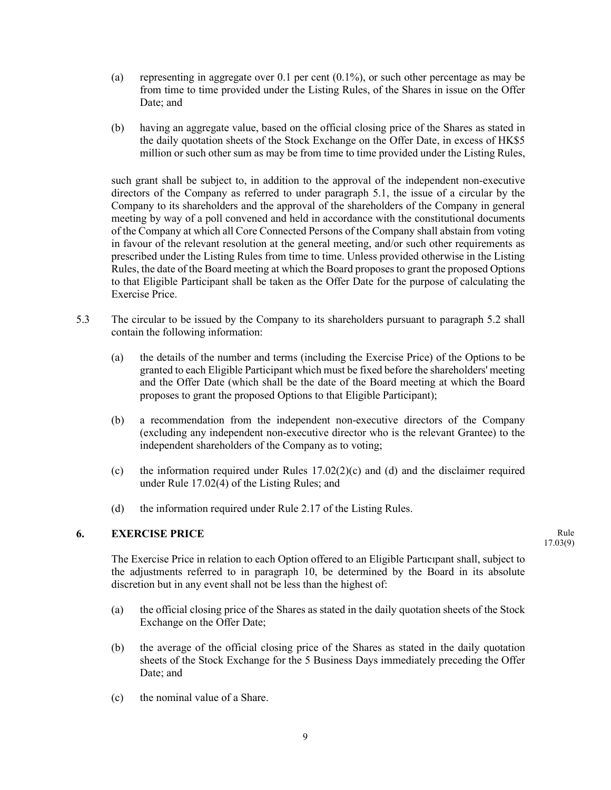- (a) representing in aggregate over  $0.1$  per cent  $(0.1\%)$ , or such other percentage as may be from time to time provided under the Listing Rules, of the Shares in issue on the Offer Date; and
- (b) having an aggregate value, based on the official closing price of the Shares as stated in the daily quotation sheets of the Stock Exchange on the Offer Date, in excess of HK\$5 million or such other sum as may be from time to time provided under the Listing Rules,

such grant shall be subject to, in addition to the approval of the independent non-executive directors of the Company as referred to under paragraph 5.1, the issue of a circular by the Company to its shareholders and the approval of the shareholders of the Company in general meeting by way of a poll convened and held in accordance with the constitutional documents of the Company at which all Core Connected Persons of the Company shall abstain from voting in favour of the relevant resolution at the general meeting, and/or such other requirements as prescribed under the Listing Rules from time to time. Unless provided otherwise in the Listing Rules, the date of the Board meeting at which the Board proposes to grant the proposed Options to that Eligible Participant shall be taken as the Offer Date for the purpose of calculating the Exercise Price.

- 5.3 The circular to be issued by the Company to its shareholders pursuant to paragraph 5.2 shall contain the following information:
	- (a) the details of the number and terms (including the Exercise Price) of the Options to be granted to each Eligible Participant which must be fixed before the shareholders' meeting and the Offer Date (which shall be the date of the Board meeting at which the Board proposes to grant the proposed Options to that Eligible Participant);
	- (b) a recommendation from the independent non-executive directors of the Company (excluding any independent non-executive director who is the relevant Grantee) to the independent shareholders of the Company as to voting;
	- (c) the information required under Rules  $17.02(2)(c)$  and (d) and the disclaimer required under Rule 17.02(4) of the Listing Rules; and
	- (d) the information required under Rule 2.17 of the Listing Rules.

### **6. EXERCISE PRICE RULE**

17.03(9)

The Exercise Price in relation to each Option offered to an Eligible Participant shall, subject to the adjustments referred to in paragraph 10, be determined by the Board in its absolute discretion but in any event shall not be less than the highest of:

- (a) the official closing price of the Shares as stated in the daily quotation sheets of the Stock Exchange on the Offer Date;
- (b) the average of the official closing price of the Shares as stated in the daily quotation sheets of the Stock Exchange for the 5 Business Days immediately preceding the Offer Date; and
- (c) the nominal value of a Share.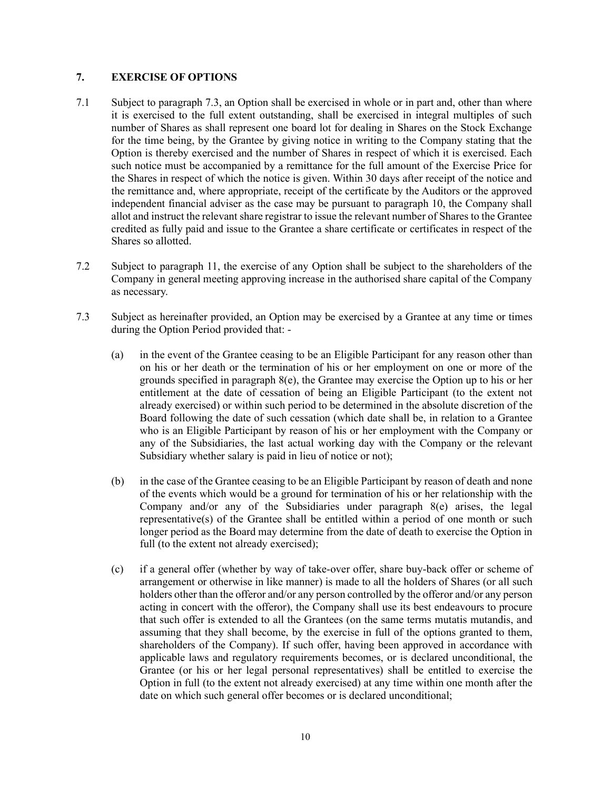## **7. EXERCISE OF OPTIONS**

- 7.1 Subject to paragraph 7.3, an Option shall be exercised in whole or in part and, other than where it is exercised to the full extent outstanding, shall be exercised in integral multiples of such number of Shares as shall represent one board lot for dealing in Shares on the Stock Exchange for the time being, by the Grantee by giving notice in writing to the Company stating that the Option is thereby exercised and the number of Shares in respect of which it is exercised. Each such notice must be accompanied by a remittance for the full amount of the Exercise Price for the Shares in respect of which the notice is given. Within 30 days after receipt of the notice and the remittance and, where appropriate, receipt of the certificate by the Auditors or the approved independent financial adviser as the case may be pursuant to paragraph 10, the Company shall allot and instruct the relevant share registrar to issue the relevant number of Shares to the Grantee credited as fully paid and issue to the Grantee a share certificate or certificates in respect of the Shares so allotted.
- 7.2 Subject to paragraph 11, the exercise of any Option shall be subject to the shareholders of the Company in general meeting approving increase in the authorised share capital of the Company as necessary.
- 7.3 Subject as hereinafter provided, an Option may be exercised by a Grantee at any time or times during the Option Period provided that: -
	- (a) in the event of the Grantee ceasing to be an Eligible Participant for any reason other than on his or her death or the termination of his or her employment on one or more of the grounds specified in paragraph 8(e), the Grantee may exercise the Option up to his or her entitlement at the date of cessation of being an Eligible Participant (to the extent not already exercised) or within such period to be determined in the absolute discretion of the Board following the date of such cessation (which date shall be, in relation to a Grantee who is an Eligible Participant by reason of his or her employment with the Company or any of the Subsidiaries, the last actual working day with the Company or the relevant Subsidiary whether salary is paid in lieu of notice or not);
	- (b) in the case of the Grantee ceasing to be an Eligible Participant by reason of death and none of the events which would be a ground for termination of his or her relationship with the Company and/or any of the Subsidiaries under paragraph 8(e) arises, the legal representative(s) of the Grantee shall be entitled within a period of one month or such longer period as the Board may determine from the date of death to exercise the Option in full (to the extent not already exercised);
	- (c) if a general offer (whether by way of take-over offer, share buy-back offer or scheme of arrangement or otherwise in like manner) is made to all the holders of Shares (or all such holders other than the offeror and/or any person controlled by the offeror and/or any person acting in concert with the offeror), the Company shall use its best endeavours to procure that such offer is extended to all the Grantees (on the same terms mutatis mutandis, and assuming that they shall become, by the exercise in full of the options granted to them, shareholders of the Company). If such offer, having been approved in accordance with applicable laws and regulatory requirements becomes, or is declared unconditional, the Grantee (or his or her legal personal representatives) shall be entitled to exercise the Option in full (to the extent not already exercised) at any time within one month after the date on which such general offer becomes or is declared unconditional;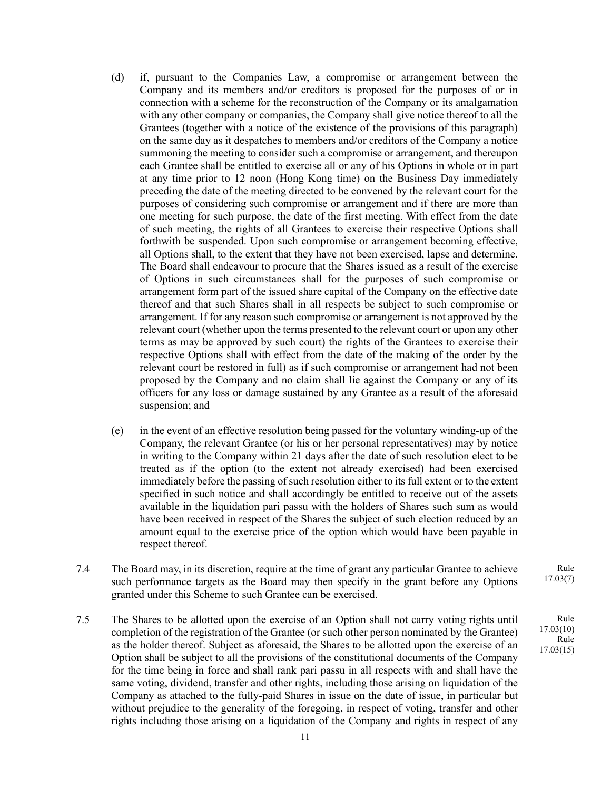- (d) if, pursuant to the Companies Law, a compromise or arrangement between the Company and its members and/or creditors is proposed for the purposes of or in connection with a scheme for the reconstruction of the Company or its amalgamation with any other company or companies, the Company shall give notice thereof to all the Grantees (together with a notice of the existence of the provisions of this paragraph) on the same day as it despatches to members and/or creditors of the Company a notice summoning the meeting to consider such a compromise or arrangement, and thereupon each Grantee shall be entitled to exercise all or any of his Options in whole or in part at any time prior to 12 noon (Hong Kong time) on the Business Day immediately preceding the date of the meeting directed to be convened by the relevant court for the purposes of considering such compromise or arrangement and if there are more than one meeting for such purpose, the date of the first meeting. With effect from the date of such meeting, the rights of all Grantees to exercise their respective Options shall forthwith be suspended. Upon such compromise or arrangement becoming effective, all Options shall, to the extent that they have not been exercised, lapse and determine. The Board shall endeavour to procure that the Shares issued as a result of the exercise of Options in such circumstances shall for the purposes of such compromise or arrangement form part of the issued share capital of the Company on the effective date thereof and that such Shares shall in all respects be subject to such compromise or arrangement. If for any reason such compromise or arrangement is not approved by the relevant court (whether upon the terms presented to the relevant court or upon any other terms as may be approved by such court) the rights of the Grantees to exercise their respective Options shall with effect from the date of the making of the order by the relevant court be restored in full) as if such compromise or arrangement had not been proposed by the Company and no claim shall lie against the Company or any of its officers for any loss or damage sustained by any Grantee as a result of the aforesaid suspension; and
- (e) in the event of an effective resolution being passed for the voluntary winding-up of the Company, the relevant Grantee (or his or her personal representatives) may by notice in writing to the Company within 21 days after the date of such resolution elect to be treated as if the option (to the extent not already exercised) had been exercised immediately before the passing of such resolution either to its full extent or to the extent specified in such notice and shall accordingly be entitled to receive out of the assets available in the liquidation pari passu with the holders of Shares such sum as would have been received in respect of the Shares the subject of such election reduced by an amount equal to the exercise price of the option which would have been payable in respect thereof.
- 7.4 The Board may, in its discretion, require at the time of grant any particular Grantee to achieve such performance targets as the Board may then specify in the grant before any Options granted under this Scheme to such Grantee can be exercised. Rule 17.03(7)
- 7.5 The Shares to be allotted upon the exercise of an Option shall not carry voting rights until completion of the registration of the Grantee (or such other person nominated by the Grantee) as the holder thereof. Subject as aforesaid, the Shares to be allotted upon the exercise of an Option shall be subject to all the provisions of the constitutional documents of the Company for the time being in force and shall rank pari passu in all respects with and shall have the same voting, dividend, transfer and other rights, including those arising on liquidation of the Company as attached to the fully-paid Shares in issue on the date of issue, in particular but without prejudice to the generality of the foregoing, in respect of voting, transfer and other rights including those arising on a liquidation of the Company and rights in respect of any

Rule 17.03(10) Rule 17.03(15)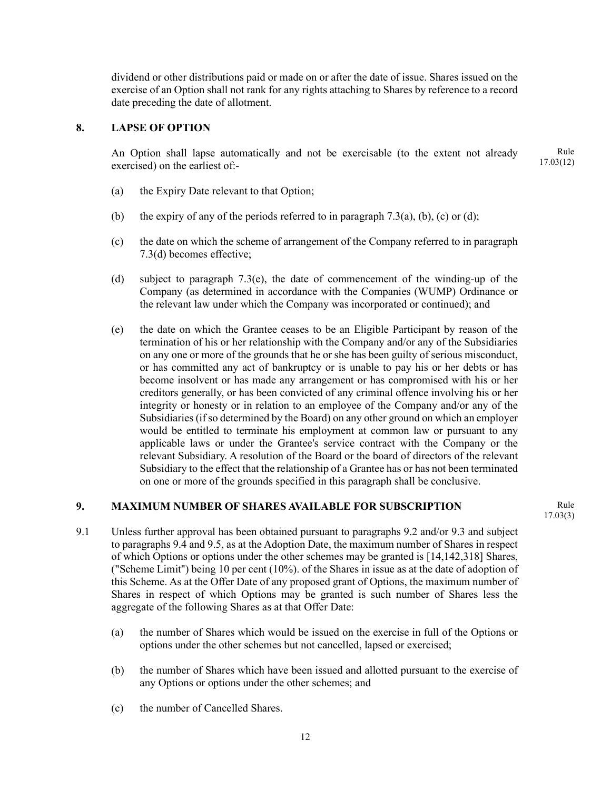dividend or other distributions paid or made on or after the date of issue. Shares issued on the exercise of an Option shall not rank for any rights attaching to Shares by reference to a record date preceding the date of allotment.

### **8. LAPSE OF OPTION**

An Option shall lapse automatically and not be exercisable (to the extent not already exercised) on the earliest of:- Rule 17.03(12)

- (a) the Expiry Date relevant to that Option;
- (b) the expiry of any of the periods referred to in paragraph  $7.3(a)$ , (b), (c) or (d);
- (c) the date on which the scheme of arrangement of the Company referred to in paragraph 7.3(d) becomes effective;
- (d) subject to paragraph 7.3(e), the date of commencement of the winding-up of the Company (as determined in accordance with the Companies (WUMP) Ordinance or the relevant law under which the Company was incorporated or continued); and
- (e) the date on which the Grantee ceases to be an Eligible Participant by reason of the termination of his or her relationship with the Company and/or any of the Subsidiaries on any one or more of the grounds that he or she has been guilty of serious misconduct, or has committed any act of bankruptcy or is unable to pay his or her debts or has become insolvent or has made any arrangement or has compromised with his or her creditors generally, or has been convicted of any criminal offence involving his or her integrity or honesty or in relation to an employee of the Company and/or any of the Subsidiaries (if so determined by the Board) on any other ground on which an employer would be entitled to terminate his employment at common law or pursuant to any applicable laws or under the Grantee's service contract with the Company or the relevant Subsidiary. A resolution of the Board or the board of directors of the relevant Subsidiary to the effect that the relationship of a Grantee has or has not been terminated on one or more of the grounds specified in this paragraph shall be conclusive.

#### **9. MAXIMUM NUMBER OF SHARES AVAILABLE FOR SUBSCRIPTION** Rule

- 9.1 Unless further approval has been obtained pursuant to paragraphs 9.2 and/or 9.3 and subject to paragraphs 9.4 and 9.5, as at the Adoption Date, the maximum number of Shares in respect of which Options or options under the other schemes may be granted is [14,142,318] Shares, ("Scheme Limit'') being 10 per cent (10%). of the Shares in issue as at the date of adoption of this Scheme. As at the Offer Date of any proposed grant of Options, the maximum number of Shares in respect of which Options may be granted is such number of Shares less the aggregate of the following Shares as at that Offer Date:
	- (a) the number of Shares which would be issued on the exercise in full of the Options or options under the other schemes but not cancelled, lapsed or exercised;
	- (b) the number of Shares which have been issued and allotted pursuant to the exercise of any Options or options under the other schemes; and
	- (c) the number of Cancelled Shares.

17.03(3)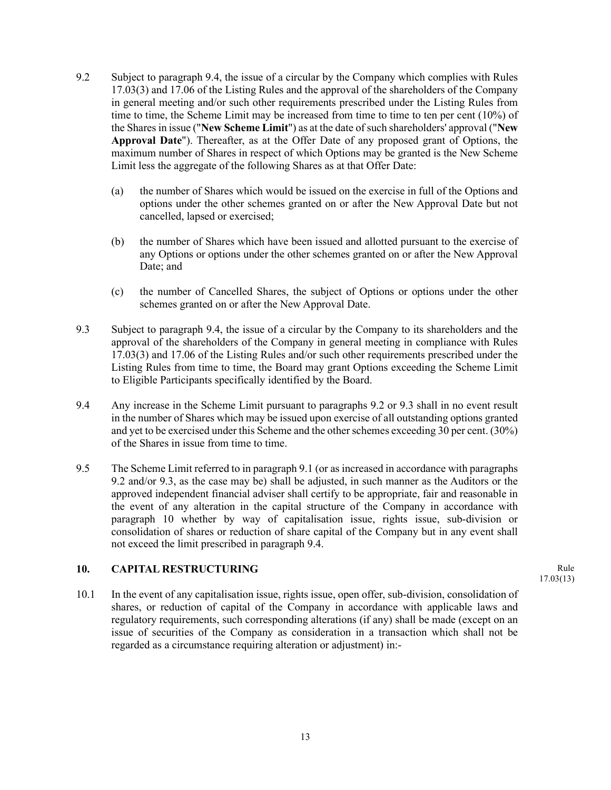- 9.2 Subject to paragraph 9.4, the issue of a circular by the Company which complies with Rules 17.03(3) and 17.06 of the Listing Rules and the approval of the shareholders of the Company in general meeting and/or such other requirements prescribed under the Listing Rules from time to time, the Scheme Limit may be increased from time to time to ten per cent (10%) of the Shares in issue ("**New Scheme Limit**") as at the date of such shareholders' approval ("**New Approval Date**"). Thereafter, as at the Offer Date of any proposed grant of Options, the maximum number of Shares in respect of which Options may be granted is the New Scheme Limit less the aggregate of the following Shares as at that Offer Date:
	- (a) the number of Shares which would be issued on the exercise in full of the Options and options under the other schemes granted on or after the New Approval Date but not cancelled, lapsed or exercised;
	- (b) the number of Shares which have been issued and allotted pursuant to the exercise of any Options or options under the other schemes granted on or after the New Approval Date; and
	- (c) the number of Cancelled Shares, the subject of Options or options under the other schemes granted on or after the New Approval Date.
- 9.3 Subject to paragraph 9.4, the issue of a circular by the Company to its shareholders and the approval of the shareholders of the Company in general meeting in compliance with Rules 17.03(3) and 17.06 of the Listing Rules and/or such other requirements prescribed under the Listing Rules from time to time, the Board may grant Options exceeding the Scheme Limit to Eligible Participants specifically identified by the Board.
- 9.4 Any increase in the Scheme Limit pursuant to paragraphs 9.2 or 9.3 shall in no event result in the number of Shares which may be issued upon exercise of all outstanding options granted and yet to be exercised under this Scheme and the other schemes exceeding 30 per cent. (30%) of the Shares in issue from time to time.
- 9.5 The Scheme Limit referred to in paragraph 9.1 (or as increased in accordance with paragraphs 9.2 and/or 9.3, as the case may be) shall be adjusted, in such manner as the Auditors or the approved independent financial adviser shall certify to be appropriate, fair and reasonable in the event of any alteration in the capital structure of the Company in accordance with paragraph 10 whether by way of capitalisation issue, rights issue, sub-division or consolidation of shares or reduction of share capital of the Company but in any event shall not exceed the limit prescribed in paragraph 9.4.

#### **10. CAPITAL RESTRUCTURING** Rule

10.1 In the event of any capitalisation issue, rights issue, open offer, sub-division, consolidation of shares, or reduction of capital of the Company in accordance with applicable laws and regulatory requirements, such corresponding alterations (if any) shall be made (except on an issue of securities of the Company as consideration in a transaction which shall not be regarded as a circumstance requiring alteration or adjustment) in:-

17.03(13)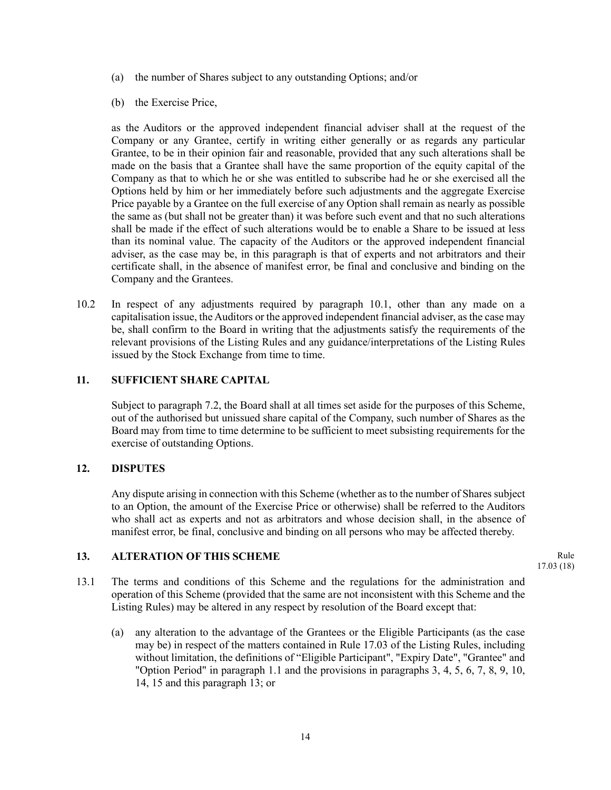- (a) the number of Shares subject to any outstanding Options; and/or
- (b) the Exercise Price,

as the Auditors or the approved independent financial adviser shall at the request of the Company or any Grantee, certify in writing either generally or as regards any particular Grantee, to be in their opinion fair and reasonable, provided that any such alterations shall be made on the basis that a Grantee shall have the same proportion of the equity capital of the Company as that to which he or she was entitled to subscribe had he or she exercised all the Options held by him or her immediately before such adjustments and the aggregate Exercise Price payable by a Grantee on the full exercise of any Option shall remain as nearly as possible the same as (but shall not be greater than) it was before such event and that no such alterations shall be made if the effect of such alterations would be to enable a Share to be issued at less than its nominal value. The capacity of the Auditors or the approved independent financial adviser, as the case may be, in this paragraph is that of experts and not arbitrators and their certificate shall, in the absence of manifest error, be final and conclusive and binding on the Company and the Grantees.

10.2 In respect of any adjustments required by paragraph 10.1, other than any made on a capitalisation issue, the Auditors or the approved independent financial adviser, as the case may be, shall confirm to the Board in writing that the adjustments satisfy the requirements of the relevant provisions of the Listing Rules and any guidance/interpretations of the Listing Rules issued by the Stock Exchange from time to time.

#### **11. SUFFICIENT SHARE CAPITAL**

Subject to paragraph 7.2, the Board shall at all times set aside for the purposes of this Scheme, out of the authorised but unissued share capital of the Company, such number of Shares as the Board may from time to time determine to be sufficient to meet subsisting requirements for the exercise of outstanding Options.

#### **12. DISPUTES**

Any dispute arising in connection with this Scheme (whether as to the number of Shares subject to an Option, the amount of the Exercise Price or otherwise) shall be referred to the Auditors who shall act as experts and not as arbitrators and whose decision shall, in the absence of manifest error, be final, conclusive and binding on all persons who may be affected thereby.

#### **13. ALTERATION OF THIS SCHEME** Rule

- 13.1 The terms and conditions of this Scheme and the regulations for the administration and operation of this Scheme (provided that the same are not inconsistent with this Scheme and the Listing Rules) may be altered in any respect by resolution of the Board except that:
	- (a) any alteration to the advantage of the Grantees or the Eligible Participants (as the case may be) in respect of the matters contained in Rule 17.03 of the Listing Rules, including without limitation, the definitions of "Eligible Participant", "Expiry Date", "Grantee" and "Option Period" in paragraph 1.1 and the provisions in paragraphs 3, 4, 5, 6, 7, 8, 9, 10, 14, 15 and this paragraph 13; or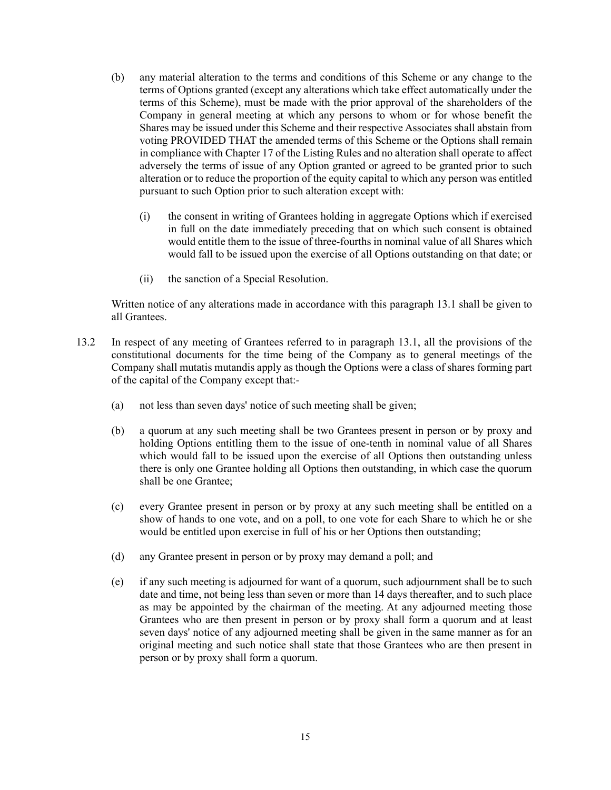- (b) any material alteration to the terms and conditions of this Scheme or any change to the terms of Options granted (except any alterations which take effect automatically under the terms of this Scheme), must be made with the prior approval of the shareholders of the Company in general meeting at which any persons to whom or for whose benefit the Shares may be issued under this Scheme and their respective Associates shall abstain from voting PROVIDED THAT the amended terms of this Scheme or the Options shall remain in compliance with Chapter 17 of the Listing Rules and no alteration shall operate to affect adversely the terms of issue of any Option granted or agreed to be granted prior to such alteration or to reduce the proportion of the equity capital to which any person was entitled pursuant to such Option prior to such alteration except with:
	- (i) the consent in writing of Grantees holding in aggregate Options which if exercised in full on the date immediately preceding that on which such consent is obtained would entitle them to the issue of three-fourths in nominal value of all Shares which would fall to be issued upon the exercise of all Options outstanding on that date; or
	- (ii) the sanction of a Special Resolution.

Written notice of any alterations made in accordance with this paragraph 13.1 shall be given to all Grantees.

- 13.2 In respect of any meeting of Grantees referred to in paragraph 13.1, all the provisions of the constitutional documents for the time being of the Company as to general meetings of the Company shall mutatis mutandis apply as though the Options were a class of shares forming part of the capital of the Company except that:-
	- (a) not less than seven days' notice of such meeting shall be given;
	- (b) a quorum at any such meeting shall be two Grantees present in person or by proxy and holding Options entitling them to the issue of one-tenth in nominal value of all Shares which would fall to be issued upon the exercise of all Options then outstanding unless there is only one Grantee holding all Options then outstanding, in which case the quorum shall be one Grantee;
	- (c) every Grantee present in person or by proxy at any such meeting shall be entitled on a show of hands to one vote, and on a poll, to one vote for each Share to which he or she would be entitled upon exercise in full of his or her Options then outstanding;
	- (d) any Grantee present in person or by proxy may demand a poll; and
	- (e) if any such meeting is adjourned for want of a quorum, such adjournment shall be to such date and time, not being less than seven or more than 14 days thereafter, and to such place as may be appointed by the chairman of the meeting. At any adjourned meeting those Grantees who are then present in person or by proxy shall form a quorum and at least seven days' notice of any adjourned meeting shall be given in the same manner as for an original meeting and such notice shall state that those Grantees who are then present in person or by proxy shall form a quorum.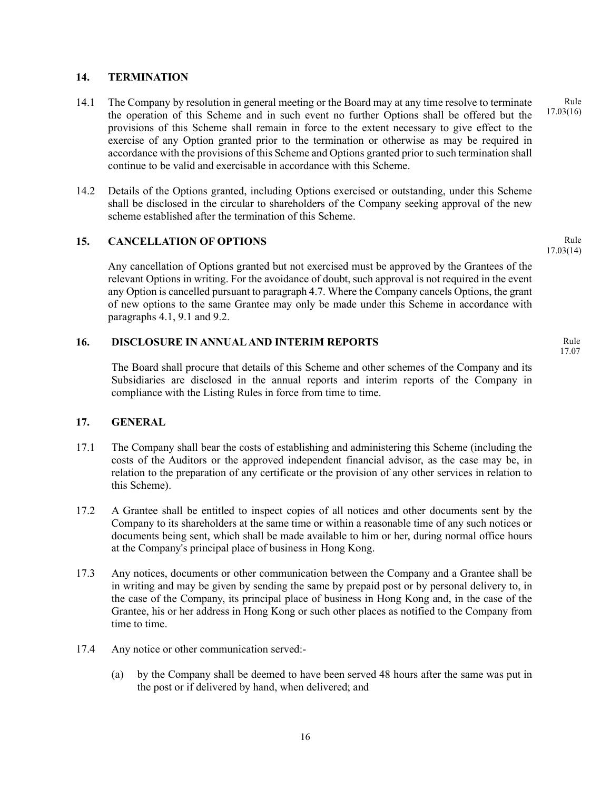#### **14. TERMINATION**

- 14.1 The Company by resolution in general meeting or the Board may at any time resolve to terminate the operation of this Scheme and in such event no further Options shall be offered but the provisions of this Scheme shall remain in force to the extent necessary to give effect to the exercise of any Option granted prior to the termination or otherwise as may be required in accordance with the provisions of this Scheme and Options granted prior to such termination shall continue to be valid and exercisable in accordance with this Scheme.
- 14.2 Details of the Options granted, including Options exercised or outstanding, under this Scheme shall be disclosed in the circular to shareholders of the Company seeking approval of the new scheme established after the termination of this Scheme.

### **15. CANCELLATION OF OPTIONS** Rule

Any cancellation of Options granted but not exercised must be approved by the Grantees of the relevant Options in writing. For the avoidance of doubt, such approval is not required in the event any Option is cancelled pursuant to paragraph 4.7. Where the Company cancels Options, the grant of new options to the same Grantee may only be made under this Scheme in accordance with paragraphs 4.1, 9.1 and 9.2.

## **16. DISCLOSURE IN ANNUAL AND INTERIM REPORTS** Rule

The Board shall procure that details of this Scheme and other schemes of the Company and its Subsidiaries are disclosed in the annual reports and interim reports of the Company in compliance with the Listing Rules in force from time to time.

#### **17. GENERAL**

- 17.1 The Company shall bear the costs of establishing and administering this Scheme (including the costs of the Auditors or the approved independent financial advisor, as the case may be, in relation to the preparation of any certificate or the provision of any other services in relation to this Scheme).
- 17.2 A Grantee shall be entitled to inspect copies of all notices and other documents sent by the Company to its shareholders at the same time or within a reasonable time of any such notices or documents being sent, which shall be made available to him or her, during normal office hours at the Company's principal place of business in Hong Kong.
- 17.3 Any notices, documents or other communication between the Company and a Grantee shall be in writing and may be given by sending the same by prepaid post or by personal delivery to, in the case of the Company, its principal place of business in Hong Kong and, in the case of the Grantee, his or her address in Hong Kong or such other places as notified to the Company from time to time.
- 17.4 Any notice or other communication served:-
	- (a) by the Company shall be deemed to have been served 48 hours after the same was put in the post or if delivered by hand, when delivered; and

17.03(14)

17.07

Rule 17.03(16)